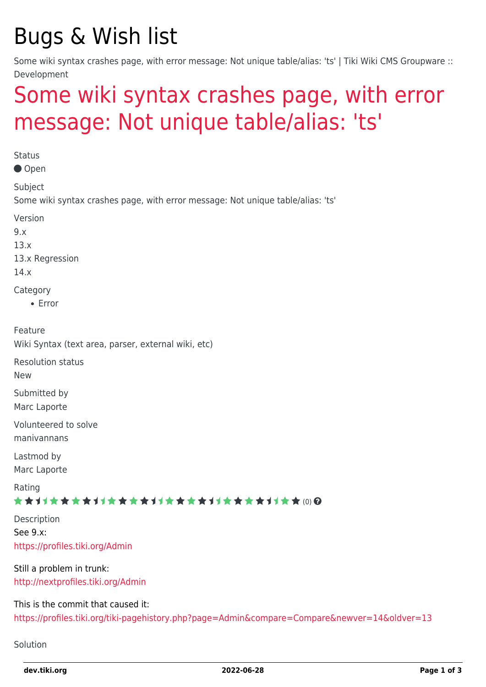## Bugs & Wish list

Some wiki syntax crashes page, with error message: Not unique table/alias: 'ts' | Tiki Wiki CMS Groupware :: Development

## [Some wiki syntax crashes page, with error](https://dev.tiki.org/item4932-Some-wiki-syntax-crashes-page-with-error-message-Not-unique-table-alias-ts) [message: Not unique table/alias: 'ts'](https://dev.tiki.org/item4932-Some-wiki-syntax-crashes-page-with-error-message-Not-unique-table-alias-ts)

**Status** Open Subject Some wiki syntax crashes page, with error message: Not unique table/alias: 'ts' Version 9.x 13.x 13.x Regression 14.x **Category** Error Feature Wiki Syntax (text area, parser, external wiki, etc) Resolution status New Submitted by Marc Laporte Volunteered to solve manivannans Lastmod by Marc Laporte Rating ★★オオ★★★★オオ★★★★オオ★★★★オオ★★★★1オ★★(0)@ Description See 9.x: <https://profiles.tiki.org/Admin> Still a problem in trunk: <http://nextprofiles.tiki.org/Admin> This is the commit that caused it: <https://profiles.tiki.org/tiki-pagehistory.php?page=Admin&compare=Compare&newver=14&oldver=13>

Solution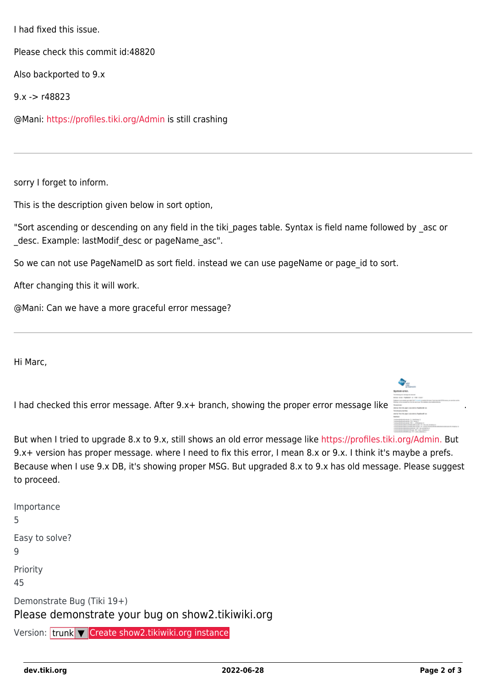I had fixed this issue.

Please check this commit id:48820

Also backported to 9.x

9.x -> r48823

@Mani:<https://profiles.tiki.org/Admin> is still crashing

sorry I forget to inform.

This is the description given below in sort option,

"Sort ascending or descending on any field in the tiki pages table. Syntax is field name followed by asc or \_desc. Example: lastModif\_desc or pageName\_asc".

So we can not use PageNameID as sort field. instead we can use pageName or page id to sort.

After changing this it will work.

@Mani: Can we have a more graceful error message?

Hi Marc,

I had checked this error message[.](https://dev.tiki.org/dl692?display) After 9.x+ branch, showing the proper error message like



But when I tried to upgrade 8.x to 9.x, still shows an old error message like <https://profiles.tiki.org/Admin.>But 9.x+ version has proper message. where I need to fix this error, I mean 8.x or 9.x. I think it's maybe a prefs. Because when I use 9.x DB, it's showing proper MSG. But upgraded 8.x to 9.x has old message. Please suggest to proceed.

| Importance<br>5                                                                 |
|---------------------------------------------------------------------------------|
| Easy to solve?<br>q                                                             |
| Priority<br>45                                                                  |
| Demonstrate Bug (Tiki 19+)<br>Please demonstrate your bug on show2.tikiwiki.org |
|                                                                                 |

Version: trunk ▼ [Create show2.tikiwiki.org instance](#page--1-0)